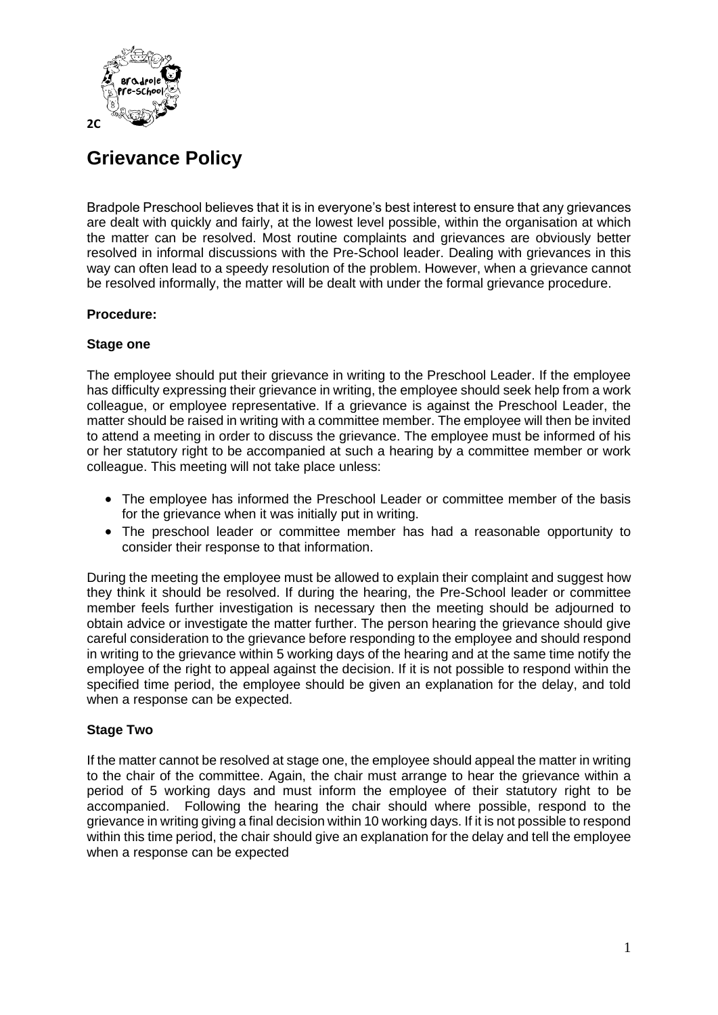

# **Grievance Policy**

Bradpole Preschool believes that it is in everyone's best interest to ensure that any grievances are dealt with quickly and fairly, at the lowest level possible, within the organisation at which the matter can be resolved. Most routine complaints and grievances are obviously better resolved in informal discussions with the Pre-School leader. Dealing with grievances in this way can often lead to a speedy resolution of the problem. However, when a grievance cannot be resolved informally, the matter will be dealt with under the formal grievance procedure.

### **Procedure:**

### **Stage one**

The employee should put their grievance in writing to the Preschool Leader. If the employee has difficulty expressing their grievance in writing, the employee should seek help from a work colleague, or employee representative. If a grievance is against the Preschool Leader, the matter should be raised in writing with a committee member. The employee will then be invited to attend a meeting in order to discuss the grievance. The employee must be informed of his or her statutory right to be accompanied at such a hearing by a committee member or work colleague. This meeting will not take place unless:

- The employee has informed the Preschool Leader or committee member of the basis for the grievance when it was initially put in writing.
- The preschool leader or committee member has had a reasonable opportunity to consider their response to that information.

During the meeting the employee must be allowed to explain their complaint and suggest how they think it should be resolved. If during the hearing, the Pre-School leader or committee member feels further investigation is necessary then the meeting should be adjourned to obtain advice or investigate the matter further. The person hearing the grievance should give careful consideration to the grievance before responding to the employee and should respond in writing to the grievance within 5 working days of the hearing and at the same time notify the employee of the right to appeal against the decision. If it is not possible to respond within the specified time period, the employee should be given an explanation for the delay, and told when a response can be expected.

#### **Stage Two**

If the matter cannot be resolved at stage one, the employee should appeal the matter in writing to the chair of the committee. Again, the chair must arrange to hear the grievance within a period of 5 working days and must inform the employee of their statutory right to be accompanied. Following the hearing the chair should where possible, respond to the grievance in writing giving a final decision within 10 working days. If it is not possible to respond within this time period, the chair should give an explanation for the delay and tell the employee when a response can be expected